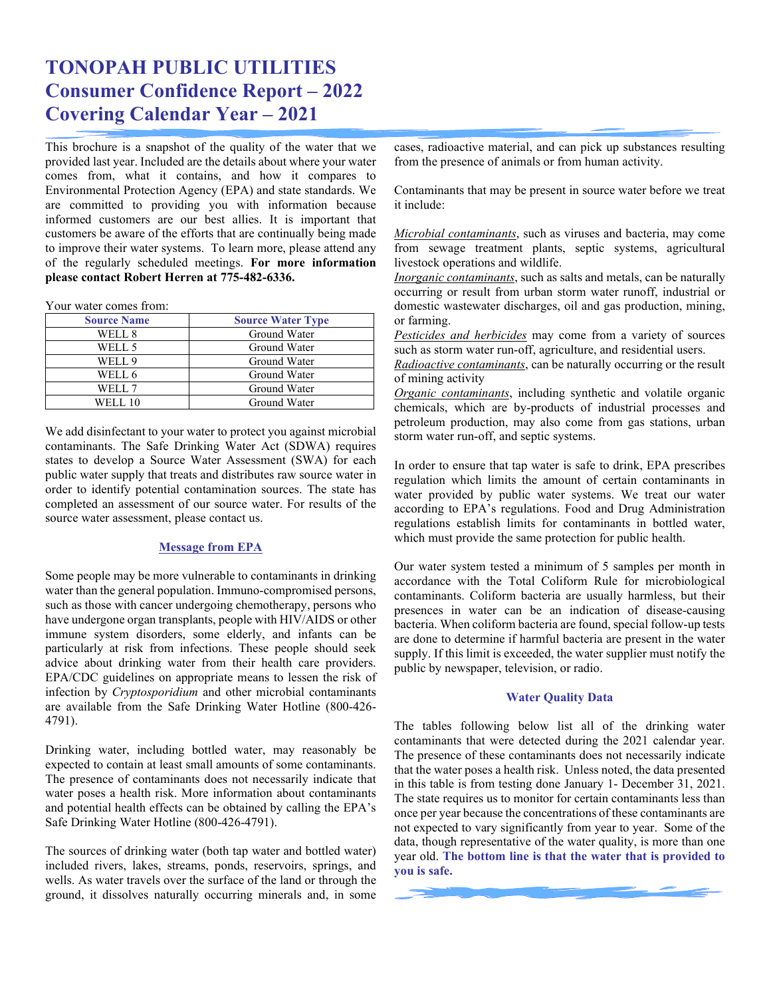# **TONOPAH PUBLIC UTILITIES Consumer Confidence Report – 2022 Covering Calendar Year – 2021**

This brochure is a snapshot of the quality of the water that we provided last year. Included are the details about where your water comes from, what it contains, and how it compares to Environmental Protection Agency (EPA) and state standards. We are committed to providing you with information because informed customers are our best allies. It is important that customers be aware of the efforts that are continually being made to improve their water systems. To learn more, please attend any of the regularly scheduled meetings. **For more information please contact Robert Herren at 775-482-6336.**

Your water comes from:

| <b>Source Name</b> | <b>Source Water Type</b> |
|--------------------|--------------------------|
| WELL 8             | Ground Water             |
| WELL 5             | Ground Water             |
| WELL 9             | Ground Water             |
| WELL 6             | Ground Water             |
| WELL 7             | Ground Water             |
| <b>WELL 10</b>     | Ground Water             |

We add disinfectant to your water to protect you against microbial contaminants. The Safe Drinking Water Act (SDWA) requires states to develop a Source Water Assessment (SWA) for each public water supply that treats and distributes raw source water in order to identify potential contamination sources. The state has completed an assessment of our source water. For results of the source water assessment, please contact us.

#### **Message from EPA**

Some people may be more vulnerable to contaminants in drinking water than the general population. Immuno-compromised persons, such as those with cancer undergoing chemotherapy, persons who have undergone organ transplants, people with HIV/AIDS or other immune system disorders, some elderly, and infants can be particularly at risk from infections. These people should seek advice about drinking water from their health care providers. EPA/CDC guidelines on appropriate means to lessen the risk of infection by *Cryptosporidium* and other microbial contaminants are available from the Safe Drinking Water Hotline (800-426- 4791).

Drinking water, including bottled water, may reasonably be expected to contain at least small amounts of some contaminants. The presence of contaminants does not necessarily indicate that water poses a health risk. More information about contaminants and potential health effects can be obtained by calling the EPA's Safe Drinking Water Hotline (800-426-4791).

The sources of drinking water (both tap water and bottled water) included rivers, lakes, streams, ponds, reservoirs, springs, and wells. As water travels over the surface of the land or through the ground, it dissolves naturally occurring minerals and, in some cases, radioactive material, and can pick up substances resulting from the presence of animals or from human activity.

Contaminants that may be present in source water before we treat it include:

*Microbial contaminants*, such as viruses and bacteria, may come from sewage treatment plants, septic systems, agricultural livestock operations and wildlife.

*Inorganic contaminants*, such as salts and metals, can be naturally occurring or result from urban storm water runoff, industrial or domestic wastewater discharges, oil and gas production, mining, or farming.

*Pesticides and herbicides* may come from a variety of sources such as storm water run-off, agriculture, and residential users.

*Radioactive contaminants*, can be naturally occurring or the result of mining activity

*Organic contaminants*, including synthetic and volatile organic chemicals, which are by-products of industrial processes and petroleum production, may also come from gas stations, urban storm water run-off, and septic systems.

In order to ensure that tap water is safe to drink, EPA prescribes regulation which limits the amount of certain contaminants in water provided by public water systems. We treat our water according to EPA's regulations. Food and Drug Administration regulations establish limits for contaminants in bottled water, which must provide the same protection for public health.

Our water system tested a minimum of 5 samples per month in accordance with the Total Coliform Rule for microbiological contaminants. Coliform bacteria are usually harmless, but their presences in water can be an indication of disease-causing bacteria. When coliform bacteria are found, special follow-up tests are done to determine if harmful bacteria are present in the water supply. If this limit is exceeded, the water supplier must notify the public by newspaper, television, or radio.

#### **Water Quality Data**

The tables following below list all of the drinking water contaminants that were detected during the 2021 calendar year. The presence of these contaminants does not necessarily indicate that the water poses a health risk. Unless noted, the data presented in this table is from testing done January 1- December 31, 2021. The state requires us to monitor for certain contaminants less than once per year because the concentrations of these contaminants are not expected to vary significantly from year to year. Some of the data, though representative of the water quality, is more than one year old. **The bottom line is that the water that is provided to you is safe.**

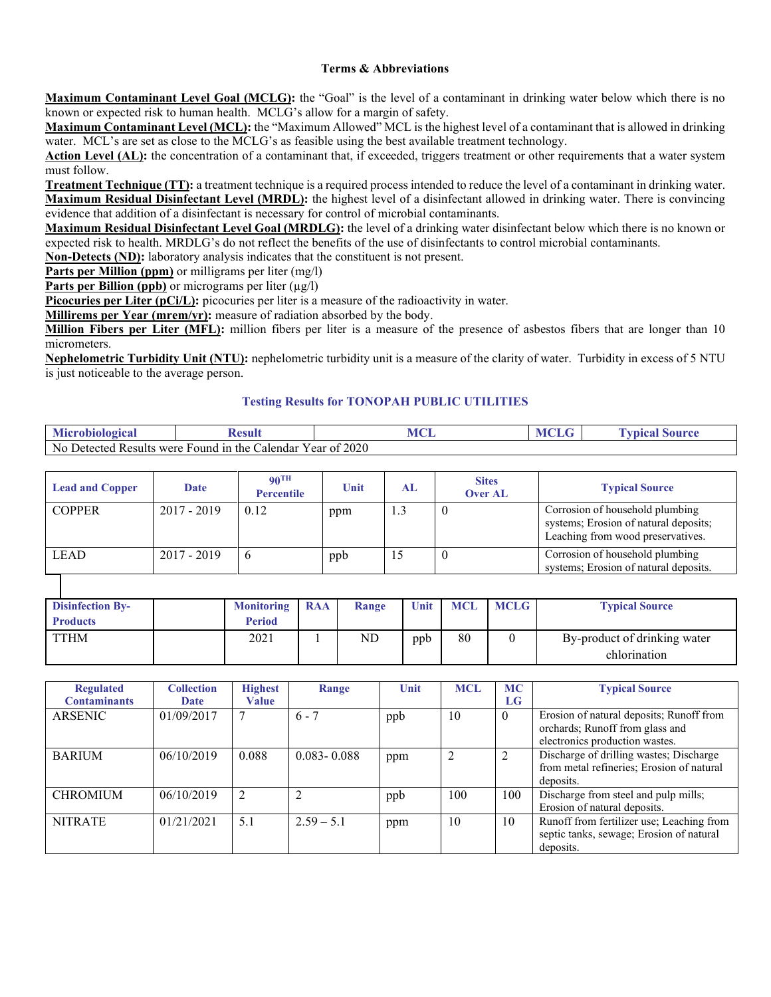### **Terms & Abbreviations**

**Maximum Contaminant Level Goal (MCLG):** the "Goal" is the level of a contaminant in drinking water below which there is no known or expected risk to human health. MCLG's allow for a margin of safety.

**Maximum Contaminant Level (MCL):** the "Maximum Allowed" MCL is the highest level of a contaminant that is allowed in drinking water. MCL's are set as close to the MCLG's as feasible using the best available treatment technology.

Action Level (AL): the concentration of a contaminant that, if exceeded, triggers treatment or other requirements that a water system must follow.

**Treatment Technique (TT):** a treatment technique is a required process intended to reduce the level of a contaminant in drinking water. **Maximum Residual Disinfectant Level (MRDL):** the highest level of a disinfectant allowed in drinking water. There is convincing evidence that addition of a disinfectant is necessary for control of microbial contaminants.

**Maximum Residual Disinfectant Level Goal (MRDLG):** the level of a drinking water disinfectant below which there is no known or expected risk to health. MRDLG's do not reflect the benefits of the use of disinfectants to control microbial contaminants.

**Non-Detects (ND):** laboratory analysis indicates that the constituent is not present.

**Parts per Million (ppm)** or milligrams per liter (mg/l)

**Parts per Billion (ppb)** or micrograms per liter ( $\mu$ g/l)

Picocuries per Liter (pCi/L): picocuries per liter is a measure of the radioactivity in water.

**Millirems per Year (mrem/yr):** measure of radiation absorbed by the body.

**Million Fibers per Liter (MFL):** million fibers per liter is a measure of the presence of asbestos fibers that are longer than 10 micrometers.

**Nephelometric Turbidity Unit (NTU):** nephelometric turbidity unit is a measure of the clarity of water. Turbidity in excess of 5 NTU is just noticeable to the average person.

#### **Testing Results for TONOPAH PUBLIC UTILITIES**

| Microl<br><b>biological</b>                                                                              | 'esul | $\sqrt{1}$<br>. | <b>ENT</b> | $\alpha$ ii maa<br>,,,,, |  |
|----------------------------------------------------------------------------------------------------------|-------|-----------------|------------|--------------------------|--|
| $\degree$ 2020<br>N <sub>0</sub><br>Detected<br>$F$ ound in the<br>' Results were<br>Calendar<br>Year of |       |                 |            |                          |  |

| <b>Lead and Copper</b> | Date          | $90^{\text{TH}}$<br><b>Percentile</b> | Unit | AL  | <b>Sites</b><br><b>Over AL</b> | <b>Typical Source</b>                                                                                         |
|------------------------|---------------|---------------------------------------|------|-----|--------------------------------|---------------------------------------------------------------------------------------------------------------|
| <b>COPPER</b>          | $2017 - 2019$ | 0.12                                  | ppm  | 1.3 |                                | Corrosion of household plumbing<br>systems; Erosion of natural deposits;<br>Leaching from wood preservatives. |
| <b>LEAD</b>            | $2017 - 2019$ |                                       | ppb  | 15  |                                | Corrosion of household plumbing<br>systems; Erosion of natural deposits.                                      |

| <b>Disinfection By-</b> | <b>Monitoring RAA</b> | Range | Unit | <b>MCL</b> | <b>MCLG</b> | <b>Typical Source</b>        |
|-------------------------|-----------------------|-------|------|------------|-------------|------------------------------|
| <b>Products</b>         | Period                |       |      |            |             |                              |
| <b>TTHM</b>             | 2021                  | ND.   | ppb  | 80         |             | By-product of drinking water |
|                         |                       |       |      |            |             | chlorination                 |

| <b>Regulated</b><br><b>Contaminants</b> | <b>Collection</b><br>Date | <b>Highest</b><br>Value | Range           | <b>Unit</b> | <b>MCL</b> | <b>MC</b><br>LG | <b>Typical Source</b>                                                                                         |
|-----------------------------------------|---------------------------|-------------------------|-----------------|-------------|------------|-----------------|---------------------------------------------------------------------------------------------------------------|
| <b>ARSENIC</b>                          | 01/09/2017                |                         | $6 - 7$         | ppb         | 10         | $\overline{0}$  | Erosion of natural deposits; Runoff from<br>orchards; Runoff from glass and<br>electronics production wastes. |
| <b>BARIUM</b>                           | 06/10/2019                | 0.088                   | $0.083 - 0.088$ | ppm         |            | 2               | Discharge of drilling wastes; Discharge<br>from metal refineries; Erosion of natural<br>deposits.             |
| <b>CHROMIUM</b>                         | 06/10/2019                | 2                       |                 | ppb         | 100        | 100             | Discharge from steel and pulp mills;<br>Erosion of natural deposits.                                          |
| <b>NITRATE</b>                          | 01/21/2021                | 5.1                     | $2.59 - 5.1$    | ppm         | 10         | 10              | Runoff from fertilizer use; Leaching from<br>septic tanks, sewage; Erosion of natural<br>deposits.            |